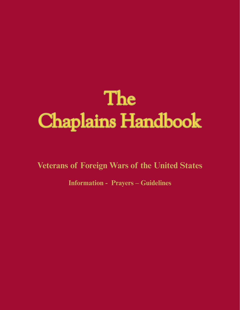# The Chaplains Handbook

**Veterans of Foreign Wars of the United States** 

**Information - Prayers – Guidelines**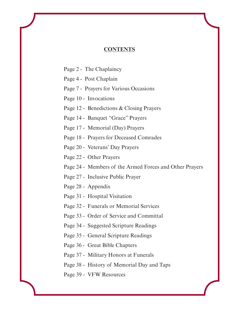#### **CONTENTS**

- Page 2 The Chaplaincy
- Page 4 Post Chaplain
- Page 7 Prayers for Various Occasions
- Page 10 Invocations
- Page 12 Benedictions & Closing Prayers
- Page 14 Banquet "Grace" Prayers
- Page 17 Memorial (Day) Prayers
- Page 18 Prayers for Deceased Comrades
- Page 20 Veterans' Day Prayers
- Page 22 Other Prayers
- Page 24 Members of the Armed Forces and Other Prayers
- Page 27 Inclusive Public Prayer
- Page 28 Appendix
- Page 31 Hospital Visitation
- Page 32 Funerals or Memorial Services
- Page 33 Order of Service and Committal
- Page 34 Suggested Scripture Readings
- Page 35 General Scripture Readings
- Page 36 Great Bible Chapters
- Page 37 Military Honors at Funerals
- Page 38 History of Memorial Day and Taps
- Page 39 VFW Resources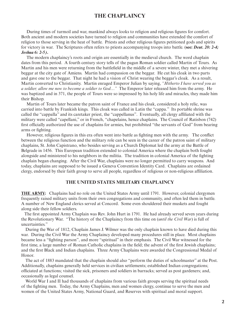#### **THE CHAPLAINCY**

 During times of turmoil and war, mankind always looks to religion and religious figures for comfort. Both ancient and modern societies have turned to religion and communities have extended the comfort of religion to those serving in the heat of battle. Priests and other religious figures petitioned gods and spirits for victory in war. The Scriptures often refers to priests accompanying troops into battle. (**see:** *Deut. 20: 2-4; Joshua 6: 2-5)***.**

 The modern chaplaincy's roots and origin are essentially in the medieval church. The word chaplain dates from this period. A fourth century story tells of the pagan Roman soldier called Martin of Tours. As Martin and his men were returning from the battlefield in the middle of a severe winter, they met a shivering beggar at the city gate of Amiens. Martin had compassion on the beggar. He cut his cloak in two parts and gave one to the beggar. That night he had a vision of Christ wearing the beggar's cloak. As a result, Martin converted to Christianity. Martin enraged Emperor Julian by saying, *"Hitherto I have served you as a soldier; allow me now to become a soldier to God…"* The Emperor later released him from the army. He was baptized and in 371, the people of Tours were so impressed by his holy life and miracles, they made him their Bishop.

 Martin of Tours later became the patron saint of France and his cloak, considered a holy relic, was carried into battle by Frankish kings. This cloak was called in Latin the "cappa." Its portable shrine was called the "cappalla" and its caretaker priest, the "cappellanus". Eventually, all clergy affiliated with the military were called "capellani," or in French, "chapelains, hence chaplains. The Council of Ratisbon (742) first officially authorized the use of chaplains for armies, but prohibited "the servants of God" from bearing arms or fighting.

 However, religious figures in this era often went into battle as fighting men with the army. The conflict between the religious function and the military role can be seen in the career of the patron saint of military chaplains, St. John Capistrano, who besides serving as a Church Diplomat led the army at the Battle of Belgrade in 1456. This European tradition extended to colonial America where the chaplain both fought alongside and ministered to his neighbors in the militia. The tradition in colonial America of the fighting chaplain began changing. After the Civil War, chaplains were no longer permitted to carry weapons. And today, chaplains are supposed to be issued a Geneva Convention Identity Card. Chaplains are ordained clergy, endorsed by their faith group to serve all people, regardless of religious or non-religious affiliation.

#### **THE UNITED STATES MILITARY CHAPLAINCY**

**THE ARMY:** Chaplains had no role on the United States Army until 1791. However, colonial clergymen frequently raised military units from their own congregations and community, and often led them in battle. A number of New England clerics served at Concord. Some even shouldered their muskets and fought along side their fellow soldiers.

 The first appointed Army Chaplain was Rev. John Hurt in 1791. He had already served seven years during the Revolutionary War. "The history of the Chaplaincy from this time on (*until the Civil War*) is full of uncertainties."

 During the War of 1812, Chaplain James J. Wilmer was the only chaplain known to have died during this war. During the Civil War the Army Chaplaincy developed many procedures still in place. Most chaplains became less a "fighting parson", and more "spiritual" in their emphasis. The Civil War witnessed for the first time, a large number of Roman Catholic chaplains in the field; the advent of the first Jewish chaplains; and the first Black and Indian chaplains. Three Army Chaplains were awarded the Congressional Medal of Honor.

 The act of 1883 mandated that the chaplain should also "perform the duties of schoolmaster" at the Post. Additionally, chaplains generally held services in civilian settlements; established Indian congregations; officiated at functions; visited the sick, prisoners and soldiers in barracks; served as post gardeners; and, occasionally as legal counsel.

World War I and II had thousands of chaplains from various faith groups serving the spiritual needs of the fighting men. Today, the Army Chaplains, men and women clergy, continue to serve the men and women of the United States Army, National Guard, and Reserves with spiritual and moral support.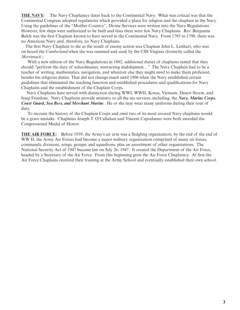**THE NAVY:** The Navy Chaplaincy dates back to the Continental Navy. What was critical was that the Continental Congress adopted regulations which provided a place for religion and the chaplain in the Navy. Using the guidelines of the "Mother Country", Divine Services were written into the Navy Regulations. However, few ships were authorized to be built and thus there were few Navy Chaplains. Rev. Benjamin Balch was the first Chaplain known to have served in the Continental Navy. From 1785 to 1798, there was no American Navy and, therefore, no Navy Chaplains.

 The first Navy Chaplain to die as the result of enemy action was Chaplain John L. Lenhart, who was on board the *Cumberland* when she was rammed and sunk by the CSS Virginia (formerly called the *Merrimack).*

With a new edition of the Navy Regulations in 1802, additional duties of chaplains stated that they should "perform the duty of schoolmaster, instructing midshipmen…" The Navy Chaplain had to be a teacher of writing, mathematics, navigation, and whatever else they might need to make them proficient, besides his religious duties. That did not change much until 1906 when the Navy established certain guidelines that eliminated the teaching function and established procedures and qualifications for Navy Chaplains and the establishment of the Chaplain Corps.

 Navy Chaplains have served with distinction during WWI, WWII, Korea, Vietnam, Desert Storm, and Iraqi Freedom. Navy Chaplains provide ministry to all the sea services, including, the *Navy, Marine Corps, Coast Guard, Sea Bees, and Merchant Marine*. He or she may wear many uniforms during their tour of duty.

 To recount the history of the Chaplain Corps and omit two of its most revered Navy chaplains would be a grave mistake. Chaplains Joseph T. O'Callahan and Vincent Capodanno were both awarded the Congressional Medal of Honor.

**THE AIR FORCE:** Before 1939, the Army's air arm was a fledgling organization; by the end of the end of WW II, the Army Air Forces had become a major military organization comprised of many air forces, commands, divisions, wings, groups, and squadrons, plus an assortment of other organizations. The National Security Act of 1947 became law on July 26, 1947. It created the Department of the Air Force, headed by a Secretary of the Air Force. From this beginning grew the Air Force Chaplaincy. At first the Air Force Chaplains received their training at the Army School and eventually established their own school.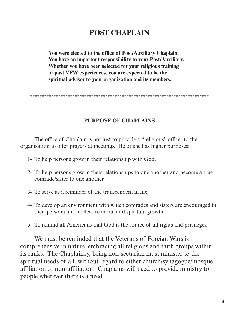# **POST CHAPLAIN**

 **You were elected to the office of Post/Auxiliary Chaplain. You have an important responsibility to your Post/Auxiliary. Whether you have been selected for your religious training or past VFW experiences, you are expected to be the spiritual advisor to your organization and its members.**

**\*\*\*\*\*\*\*\*\*\*\*\*\*\*\*\*\*\*\*\*\*\*\*\*\*\*\*\*\*\*\*\*\*\*\*\*\*\*\*\*\*\*\*\*\*\*\*\*\*\*\*\*\*\*\*\*\*\*\*\*\*\*\*\*\*\*\*\*\*\*\*\*\*\*\*\***

#### **PURPOSE OF CHAPLAINS**

The office of Chaplain is not just to provide a "religious" officer to the organization to offer prayers at meetings. He or she has higher purposes:

- 1- To help persons grow in their relationship with God.
- 2- To help persons grow in their relationships to one another and become a true comrade/sister to one another.
- 3- To serve as a reminder of the transcendent in life,
- 4- To develop an environment with which comrades and sisters are encouraged in their personal and collective moral and spiritual growth.
- 5- To remind all Americans that God is the source of all rights and privileges.

We must be reminded that the Veterans of Foreign Wars is comprehensive in nature, embracing all religions and faith groups within its ranks. The Chaplaincy, being non-sectarian must minister to the spiritual needs of all, without regard to either church/synagogue/mosque affiliation or non-affiliation. Chaplains will need to provide ministry to people wherever there is a need.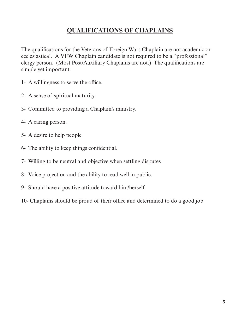# **QUALIFICATIONS OF CHAPLAINS**

The qualifications for the Veterans of Foreign Wars Chaplain are not academic or ecclesiastical. A VFW Chaplain candidate is not required to be a "professional" clergy person. (Most Post/Auxiliary Chaplains are not.) The qualifications are simple yet important:

- 1- A willingness to serve the office.
- 2- A sense of spiritual maturity.
- 3- Committed to providing a Chaplain's ministry.
- 4- A caring person.
- 5- A desire to help people.
- 6- The ability to keep things confidential.
- 7- Willing to be neutral and objective when settling disputes.
- 8- Voice projection and the ability to read well in public.
- 9- Should have a positive attitude toward him/herself.
- 10- Chaplains should be proud of their office and determined to do a good job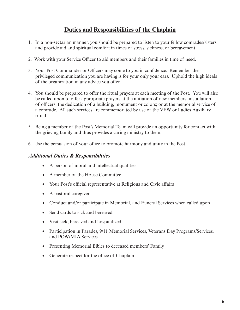# **Duties and Responsibilities of the Chaplain**

- 1. In a non-sectarian manner, you should be prepared to listen to your fellow comrades/sisters and provide aid and spiritual comfort in times of stress, sickness, or bereavement.
- 2. Work with your Service Officer to aid members and their families in time of need.
- 3. Your Post Commander or Officers may come to you in confidence. Remember the privileged communication you are having is for your only your ears. Uphold the high ideals of the organization in any advice you offer.
- 4. You should be prepared to offer the ritual prayers at each meeting of the Post. You will also be called upon to offer appropriate prayers at the initiation of new members; installation of officers; the dedication of a building, monument or colors; or at the memorial service of a comrade. All such services are commemorated by use of the VFW or Ladies Auxiliary ritual.
- 5. Being a member of the Post's Memorial Team will provide an opportunity for contact with the grieving family and thus provides a caring ministry to them.
- 6. Use the persuasion of your office to promote harmony and unity in the Post.

#### *Additional Duties & Responsibilities*

- A person of moral and intellectual qualities
- A member of the House Committee
- Your Post's official representative at Religious and Civic affairs
- A pastoral caregiver
- Conduct and/or participate in Memorial, and Funeral Services when called upon
- Send cards to sick and bereaved
- Visit sick, bereaved and hospitalized
- Participation in Parades, 9/11 Memorial Services, Veterans Day Programs/Services, and POW/MIA Services
- Presenting Memorial Bibles to deceased members' Family
- Generate respect for the office of Chaplain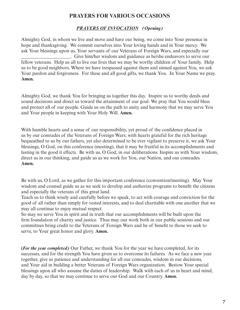#### **PRAYERS FOR VARIOUS OCCASIONS**

#### *PRAYERS OF INVOCATION (Opening)*

Almighty God, in whom we live and move and have our being, we come into Your presence in hope and thanksgiving. We commit ourselves into Your loving hands and in Your mercy. We ask Your blessings upon us, Your servants of our Veterans of Foreign Wars, and especially our \_\_\_\_\_\_\_\_\_\_\_\_\_\_\_\_\_\_\_\_\_. Give him/her wisdom and guidance as he/she endeavors to serve our fellow veterans. Help us all to live our lives that we may be worthy children of Your family. Help us to be good neighbors. Where we have trespassed against them and sinned against You, we ask Your pardon and forgiveness. For these and all good gifts, we thank You. In Your Name we pray. **Amen.**

Almighty God, we thank You for bringing us together this day. Inspire us to worthy deeds and sound decisions and direct us toward the attainment of our goal. We pray that You would bless and protect all of our people. Guide us on the path to unity and harmony that we may serve You and Your people in keeping with Your Holy Will. **Amen.**

With humble hearts and a sense of our responsibility, yet proud of the confidence placed in us by our comrades of the Veterans of Foreign Wars; with hearts grateful for the rich heritage bequeathed to us by our fathers, yet also determined to be ever vigilant to preserve it, we ask Your blessings, O God, on this conference (meeting), that it may be fruitful in its accomplishments and lasting in the good it effects. Be with us, O God, in our deliberations. Inspire us with Your wisdom, direct us in our thinking, and guide us as we work for You, our Nation, and our comrades. **Amen.**

Be with us, O Lord, as we gather for this important conference (convention/meeting). May Your wisdom and counsel guide us as we seek to develop and authorize programs to benefit the citizens and especially the veterans of this great land.

Teach us to think wisely and carefully before we speak, to act with courage and conviction for the good of all rather than simply for vested interests, and to deal charitable with one another that we may all continue to enjoy mutual respect.

So may we serve You in spirit and in truth that our accomplishments will be built upon the firm foundation of charity and justice. Thus may our work both in our public sessions and our committees bring credit to the Veterans of Foreign Wars and be of benefit to those we seek to serve, to Your great honor and glory. **Amen.**

**(***For the year completed)* Our Father, we thank You for the year we have completed, for its successes, and for the strength You have given us to overcome its failures. As we face a new year together, give us patience and understanding for all our comrades, wisdom in our decisions, and Your aid in building a better Veterans of Foreign Wars organization. Bestow Your special blessings upon all who assume the duties of leadership. Walk with each of us in heart and mind, day by day, so that we may continue to serve our God and our Country. **Amen.**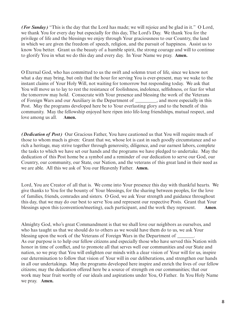*(For Sunday)* "This is the day that the Lord has made; we will rejoice and be glad in it." O Lord, we thank You for every day but especially for this day, The Lord's Day. We thank You for the privilege of life and the blessings we enjoy through Your graciousness to our Country, the land in which we are given the freedom of speech, religion, and the pursuit of happiness. Assist us to know You better. Grant us the beauty of a humble spirit, the strong courage and will to continue to glorify You in what we do this day and every day. In Your Name we pray. **Amen.**

O Eternal God, who has committed to us the swift and solemn trust of life, since we know not what a day may bring, but only that the hour for serving You is ever-present, may we wake to the instant claims of Your Holy Will, not waiting for tomorrow but responding today. We ask that You will move us to lay to rest the resistance of foolishness, indolence, selfishness, or fear for what the tomorrow may hold. Consecrate with Your presence and blessing the work of the Veterans of Foreign Wars and our Auxiliary in the Department of \_\_\_\_\_\_\_\_\_, and more especially in this Post. May the programs developed here be to Your everlasting glory and to the benefit of this community. May the fellowship enjoyed here ripen into life-long friendships, mutual respect, and love among us all. **Amen.**

*(Dedication of Post)* Our Gracious Father, You have cautioned us that You will require much of those to whom much is given: Grant that we, whose lot is cast in such goodly circumstance and so rich a heritage, may strive together through generosity, diligence, and our earnest labors, complete the tasks to which we have set our hands and the programs we have pledged to undertake. May the dedication of this Post home be a symbol and a reminder of our dedication to serve our God, our Country, our community, our State, our Nation, and the veterans of this great land in their need as we are able. All this we ask of You our Heavenly Father. **Amen.**

Lord, You are Creator of all that is. We come into Your presence this day with thankful hearts. We give thanks to You for the bounty of Your blessings, for the sharing between peoples, for the love of families, friends, comrades and sisters. O God, we ask Your strength and guidance throughout this day, that we may do our best to serve You and represent our respective Posts. Grant that Your blessings upon this (convention/meeting), each participant, and the work they represent. **Amen**.

Almighty God, who's great Commandment is that we shall love our neighbors as ourselves, and who has taught us that we should do to others as we would have them do to us, we ask Your blessing upon the work of the Veterans of Foreign Wars in the Department of As our purpose is to help our fellow citizens and especially those who have served this Nation with honor in time of conflict, and to promote all that serves well our communities and our State and nation, so we pray that You will enlighten our minds with a clear vision of Your will for us, inspire our determination to follow that vision of Your will in our deliberations, and strengthen our hands in all our undertakings. May the programs developed here inspire and enrich the lives of our fellow citizens; may the dedication offered here be a source of strength on our communities; that our work may bear fruit worthy of our ideals and aspirations under You, O Father. In You Holy Name we pray. **Amen.**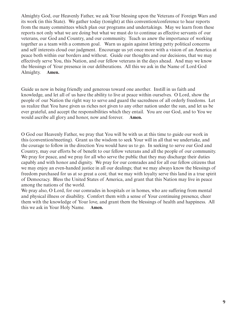Almighty God, our Heavenly Father, we ask Your blessing upon the Veterans of Foreign Wars and its work (in this State). We gather today (tonight) at this convention/conference to hear reports from the many committees which plan our programs and undertakings. May we learn from these reports not only what we are doing but what we must do to continue as effective servants of our veterans, our God and Country, and our community. Teach us anew the importance of working together as a team with a common goal. Warn us again against letting petty political concerns and self interests cloud our judgment. Encourage us yet once more with a vision of an America at peace both within our borders and without. Guide our thoughts and our decisions, that we may effectively serve You, this Nation, and our fellow veterans in the days ahead. And may we know the blessings of Your presence in our deliberations. All this we ask in the Name of Lord God Almighty. **Amen.**

Guide us now in being friendly and generous toward one another. Instill in us faith and knowledge, and let all of us have the ability to live at peace within ourselves. O Lord, show the people of our Nation the right way to serve and guard the sacredness of all orderly freedoms. Let us realize that You have given us riches not given to any other nation under the sun, and let us be ever grateful, and accept the responsibilities which they entail. You are our God, and to You we would ascribe all glory and honor, now and forever. **Amen.**

O God our Heavenly Father, we pray that You will be with us at this time to guide our work in this (convention/meeting). Grant us the wisdom to seek Your will in all that we undertake, and the courage to follow in the direction You would have us to go. In seeking to serve our God and Country, may our efforts be of benefit to our fellow veterans and all the people of our community. We pray for peace, and we pray for all who serve the public that they may discharge their duties capably and with honor and dignity. We pray for our comrades and for all our fellow citizens that we may enjoy an even-handed justice in all our dealings; that we may always know the blessings of freedom purchased for us at so great a cost; that we may with loyalty serve this land in a true spirit of Democracy. Bless the United States of America, and grant that this Nation may live in peace among the nations of the world.

We pray also, O Lord, for our comrades in hospitals or in homes, who are suffering from mental and physical illness or disability. Comfort them with a sense of Your continuing presence, cheer them with the knowledge of Your love, and grant them the blessings of health and happiness. All this we ask in Your Holy Name. **Amen.**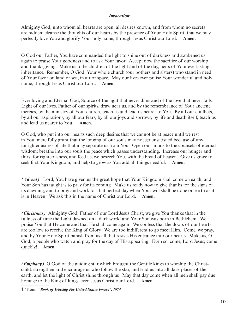#### *Invocation1*

Almighty God, unto whom all hearts are open, all desires known, and from whom no secrets are hidden: cleanse the thoughts of our hearts by the presence of Your Holy Spirit, that we may perfectly love You and glorify Your holy name; through Jesus Christ our Lord. **Amen.**

O God our Father, You have commanded the light to shine out of darkness and awakened us again to praise Your goodness and to ask Your favor. Accept now the sacrifice of our worship and thanksgiving. Make us to be children of the light and of the day, heirs of Your everlasting inheritance. Remember, O God, Your whole church (our bothers and sisters) who stand in need of Your favor on land or sea, in air or space. May our lives ever praise Your wonderful and holy name; through Jesus Christ our Lord. **Amen.**

Ever loving and Eternal God, Source of the light that never dims and of the love that never fails, Light of our lives, Father of our spirits, draw near us, and by the remembrance of Your ancient mercies, by the ministry of Your church, teach us and lead us nearer to You. By all our conflicts, by all our aspirations, by all our fears, by all our joys and sorrows, by life and death itself, teach us and lead us nearer to You. **Amen.**

O God, who put into our hearts such deep desires that we cannot be at peace until we rest in You: mercifully grant that the longing of our souls may not go unsatisfied because of any unrighteousness of life that may separate us from You. Open our minds to the counsels of eternal wisdom; breathe into our souls the peace which passes understanding. Increase our hunger and thirst for righteousness, and feed us, we beseech You, with the bread of heaven. Give us grace to seek first Your Kingdom, and help to grow as You add all things needful. **Amen.**

*(Advent)* Lord, You have given us the great hope that Your Kingdom shall come on earth, and Your Son has taught is to pray for its coming. Make us ready now to give thanks for the signs of its dawning, and to pray and work for that perfect day when Your will shall be done on earth as it is in Heaven. We ask this in the name of Christ our Lord. **Amen.**

*(Christmas)* Almighty God, Father of our Lord Jesus Christ, we give You thanks that in the fullness of time the Light dawned on a dark world and Your Son was born in Bethlehem. We praise You that He came and that He shall come again. We confess that the doors of our hearts are too low to receive the King of Glory. We are too indifferent to go meet Him. Come, we pray, and by Your Holy Spirit banish from us all that resists His entrance into our hearts. Make us, O God, a people who watch and pray for the day of His appearing. Even so, come, Lord Jesus; come quickly! **Amen.**

*(Epiphany)* O God of the guiding star which brought the Gentile kings to worship the Christchild: strengthen and encourage us who follow the star, and lead us into all dark places of the earth, and let the light of Christ shine through us. May that day come when all men shall pay due homage to the King of kings, even Jesus Christ our Lord. **Amen.**

<sup>1</sup> <sup>1</sup> from: *"Book of Worship For United States Forces", 1974*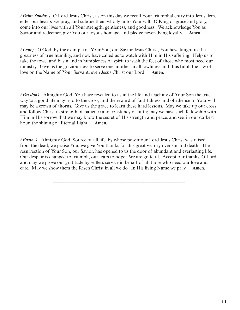*(Palm Sunday)* O Lord Jesus Christ, as on this day we recall Your triumphal entry into Jerusalem, enter our hearts, we pray, and subdue them wholly unto Your will. O King of grace and glory, come into our lives with all Your strength, gentleness, and goodness. We acknowledge You as Savior and redeemer, give You our joyous homage, and pledge never-dying loyalty. **Amen.**

*(Lent)* O God, by the example of Your Son, our Savior Jesus Christ, You have taught us the greatness of true humility, and now have called us to watch with Him in His suffering. Help us to take the towel and basin and in humbleness of spirit to wash the feet of those who most need our ministry. Give us the graciousness to serve one another in all lowliness and thus fulfill the law of love on the Name of Your Servant, even Jesus Christ our Lord. **Amen.**

*(Passion)* Almighty God, You have revealed to us in the life and teaching of Your Son the true way to a good life may lead to the cross, and the reward of faithfulness and obedience to Your will may be a crown of thorns. Give us the grace to learn these hard lessons. May we take up our cross and follow Christ in strength of patience and constancy of faith; may we have such fellowship with Him in His sorrow that we may know the secret of His strength and peace, and see, in our darkest hour, the shining of Eternal Light. **Amen.**

*(Easter)* Almighty God, Source of all life, by whose power our Lord Jesus Christ was raised from the dead; we praise You, we give You thanks for this great victory over sin and death. The resurrection of Your Son, our Savior, has opened to us the door of abundant and everlasting life. Our despair is changed to triumph, our fears to hope. We are grateful. Accept our thanks, O Lord, and may we prove our gratitude by selfless service in behalf of all those who need our love and care. May we show them the Risen Christ in all we do. In His living Name we pray. **Amen.**

**\_\_\_\_\_\_\_\_\_\_\_\_\_\_\_\_\_\_\_\_\_\_\_\_\_\_\_\_\_\_\_\_\_\_\_\_\_\_\_\_\_\_\_\_\_\_\_\_**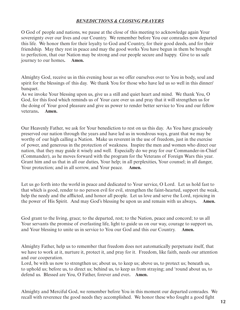#### *BENEDICTIONS & CLOSING PRAYERS*

O God of people and nations, we pause at the close of this meeting to acknowledge again Your sovereignty over our lives and our Country. We remember before You our comrades now departed this life. We honor them for their loyalty to God and Country, for their good deeds, and for their friendship. May they rest in peace and may the good works You have begun in them be brought to perfection, that our Nation may be strong and our people secure and happy. Give to us safe journey to our homes**. Amen.**

Almighty God, receive us in this evening hour as we offer ourselves over to You in body, soul and spirit for the blessings of this day. We thank You for those who have led us so well in this dinner/ banquet.

As we invoke Your blessing upon us, give us a still and quiet heart and mind. We thank You, O God, for this food which reminds us of Your care over us and pray that it will strengthen us for the doing of Your good pleasure and give us power to render better service to You and our fellow veterans**. Amen.** 

Our Heavenly Father, we ask for Your benediction to rest on us this day. As You have graciously preserved our nation through the years and have led us in wondrous ways, grant that we may be worthy of our high calling a Nation. Make us reverent in the use of freedom, just in the exercise of power, and generous in the protection of weakness. Inspire the men and women who direct our nation, that they may guide it wisely and well. Especially do we pray for our Commander-in-Chief (Commander), as he moves forward with the program for the Veterans of Foreign Wars this year. Grant him and us that in all our duties, Your help; in all perplexities, Your counsel; in all danger, Your protection; and in all sorrow, and Your peace. **Amen.**

Let us go forth into the world in peace and dedicated to Your service, O Lord. Let us hold fast to that which is good, render to no person evil for evil, strengthen the faint-hearted, support the weak, help the needy and the afflicted, and honor all people. Let us love and serve the Lord, rejoicing in the power of His Spirit. And may God's blessing be upon us and remain with us always**. Amen.**

God grant to the living, grace; to the departed, rest; to the Nation, peace and concord; to us all Your servants the promise of everlasting life, light to guide us on our way, courage to support us, and Your blessing to unite us in service to You our God and this our Country. **Amen.**

Almighty Father, help us to remember that freedom does not automatically perpetuate itself, that we have to work at it, nurture it, protect it, and pray for it. Freedom, like faith, needs our attention and our cooperation.

Lord, be with us now to strengthen us; about us, to keep us; above us, to protect us; beneath us, to uphold us; before us, to direct us; behind us, to keep us from straying; and 'round about us, to defend us. Blessed are You, O Father, forever and ever**. Amen.**

Almighty and Merciful God, we remember before You in this moment our departed comrades. We recall with reverence the good needs they accomplished. We honor these who fought a good fight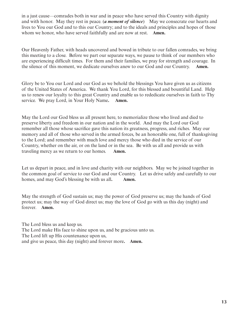in a just cause—comrades both in war and in peace who have served this Country with dignity and with honor. May they rest in peace. (*a moment of silence*) May we consecrate our hearts and lives to You our God and to this our Country; and to the ideals and principles and hopes of those whom we honor, who have served faithfully and are now at rest. **Amen.**

Our Heavenly Father, with heads uncovered and bowed in tribute to our fallen comrades, we bring this meeting to a close. Before we part our separate ways, we pause to think of our members who are experiencing difficult times. For them and their families, we pray for strength and courage. In the silence of this moment, we dedicate ourselves anew to our God and our Country. **Amen.**

Glory be to You our Lord and our God as we behold the blessings You have given us as citizens of the United States of America. We thank You Lord, for this blessed and bountiful Land. Help us to renew our loyalty to this great Country and enable us to rededicate ourselves in faith to Thy service. We pray Lord, in Your Holy Name**. Amen.**

May the Lord our God bless us all present here, to memorialize those who lived and died to preserve liberty and freedom in our nation and in the world. And may the Lord our God remember all those whose sacrifice gave this nation its greatness, progress, and riches. May our memory and all of those who served in the armed forces, be an honorable one, full of thanksgiving to the Lord; and remember with much love and mercy those who died in the service of our Country, whether on the air, or on the land or in the sea. Be with us all and provide us with traveling mercy as we return to our homes. **Amen.**

Let us depart in peace, and in love and charity with our neighbors. May we be joined together in the common goal of service to our God and our Country. Let us drive safely and carefully to our homes, and may God's blessing be with us all. **Amen.** 

May the strength of God sustain us; may the power of God preserve us; may the hands of God protect us; may the way of God direct us; may the love of God go with us this day (night) and forever. **Amen.**

The Lord bless us and keep us. The Lord make His face to shine upon us, and be gracious unto us. The Lord lift up His countenance upon us, and give us peace, this day (night) and forever more**. Amen.**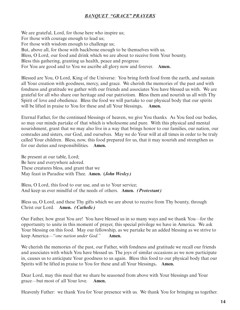#### *BANQUET "GRACE" PRAYERS*

We are grateful, Lord, for those here who inspire us; For those with courage enough to lead us; For those with wisdom enough to challenge us; But, above all, for those with backbone enough to be themselves with us. Bless, O Lord, our food and drink which we are about to receive from Your bounty. Bless this gathering, granting us health, peace and progress: For You are good and to You we ascribe all glory now and forever. **Amen.**

Blessed are You, O Lord, King of the Universe: You bring forth food from the earth, and sustain all Your creation with goodness, mercy, and grace. We cherish the memories of the past and with fondness and gratitude we gather with our friends and associates You have blessed us with. We are grateful for all who share our heritage and our patriotism. Bless them and nourish us all with Thy Spirit of love and obedience. Bless the food we will partake to our physical body that our spirits will be lifted in praise to You for these and all Your blessings**. Amen.**

Eternal Father, for the continued blessings of heaven, we give You thanks. As You feed our bodies, so may our minds partake of that which is wholesome and pure. With this physical and mental nourishment, grant that we may also live in a way that brings honor to our families, our nation, our comrades and sisters, our God, and ourselves. May we do Your will at all times in order to be truly called Your children. Bless, now, this food prepared for us, that it may nourish and strengthen us for our duties and responsibilities. **Amen.**

Be present at our table, Lord; Be here and everywhere adored. These creatures bless, and grant that we May feast in Paradise with Thee. **Amen. (***John Wesley)*

Bless, O Lord, this food to our use, and us to Your service; And keep us ever mindful of the needs of others. **Amen.** *(Protestant)*

Bless us, O Lord, and these Thy gifts which we are about to receive from Thy bounty, through Christ our Lord. **Amen.** *(Catholic)*

Our Father, how great You are! You have blessed us in so many ways and we thank You—for the opportunity to unite in this moment of prayer, this special privilege we have in America. We ask Your blessing on this food. May our fellowship, as we partake be an added blessing as we strive to keep America—"*one nation under God."* **Amen.**

We cherish the memories of the past, our Father, with fondness and gratitude we recall our friends and associates with which You have blessed us. The joys of similar occasions as we now participate in, causes us to anticipate Your goodness to us again. Bless this food to our physical body that our Spirits will be lifted in praise to You for these and all Your blessings**. Amen.**

Dear Lord, may this meal that we share be seasoned from above with Your blessings and Your grace—but most of all Your love. **Amen.**

Heavenly Father: we thank You for Your presence with us. We thank You for bringing us together.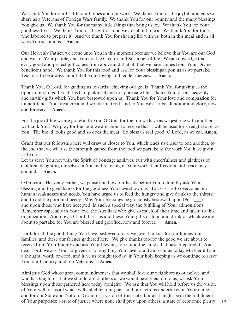We thank You for our health, our homes and our work. We thank You for the joyful moments we share as a Veterans of Foreign Wars family. We thank You for our bounty and the many blessings You give us. We thank You for the many little things that bring us joy. We thank You for Your goodness to us. We thank You for the gift of food we are about to eat. We thank You for those who labored to prepare it. And we thank You for sharing life with us, both in this meal and in all ways You sustain us. **Amen.**

Our Heavenly Father, we come unto You in this moment because we believe that You are our God and we are Your people, and You are the Creator and Sustainer of life. We acknowledge that every good and perfect gift comes from above and that all that we have comes from Your Divine beneficent hand. We thank You for this food and ask for Your blessings upon us as we partake. Teach us to be always mindful of Your loving and tender mercies**. Amen.**

Thank You, O Lord, for guiding us towards achieving our goals. Thank You for giving us the opportunity to gather at this banquet/meal and to appreciate life. Thank You for our heavenly and earthly gifts which You have bestowed upon us. Thank You for Your love and compassion for human-kind. You are a great and wonderful God, and to You we ascribe all honor and glory, now and forever**. Amen.**

For the joy of life we are grateful to You, O God; for the fun we have as we jest one with another, we thank You. We pray for the food we are about to receive that it will be used for strength to serve You. The bread looks good and so does the meat. So bless us real good, O Lord, as we eat. **Amen.**

Grant that our fellowship here will draw us closer to You, which leads us closer to one another, to the end that we will use the strength gained from the food we partake to the work You have given us to do.

Let us serve You not with the Spirit of bondage as slaves, but with cheerfulness and gladness of children, delighting ourselves in You and rejoicing in Your work, that freedom and peace may abound. **Amen.**

O Gracious Heavenly Father, we pause and bow our heads before You to humbly ask Your blessing and to give thanks for the goodness You have shown us. To assist us to overcome our human weaknesses and needs, You have urged us to feed the hungry and give drink to the thirsty, and to aid the poor and needy. May Your blessings be graciously bestowed upon (Post \_\_\_) and upon those who have accepted, in such a special way, the fulfilling of Your admonitions. Remember especially in Your love, the Auxiliary who give so much of their time and talent to this organization. And now, O Lord, bless us and these, Your gifts of food and drink of which we are about to partake, for You are blessed and glorified, now and forever. **Amen.**

Lord, for all the good things You have bestowed on us, we give thanks—for our homes, our families, and these our friends gathered here. We give thanks too for the good we are about to receive from Your bounty and ask Your blessings on it and the hands that have prepared it. And dear Lord, we ask Your forgiveness for anything You have found amiss in us today whether it be in a thought, word, or deed, and have us tonight (today) in Your holy keeping as we continue to serve You, our Country, and our Veterans. **Amen.**

Almighty God whose great commandment is that we shall love our neighbors as ourselves, and who has taught us that we should do to others as we would have them do to us, we ask Your blessings upon those gathered here today (tonight). We ask that You will hold before us the vision of Your will for us all which will enlighten our goals and our actions undertaken in Your name and for our State and Nation. Grant us a vision of this state, fair as it might be in the fulfillment of Your purposes; a state of justice where none shall prey upon others; a state of economic plenty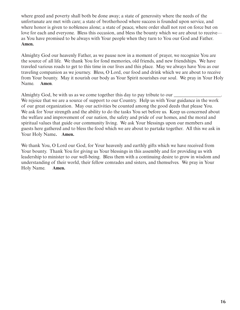where greed and poverty shall both be done away; a state of generosity where the needs of the unfortunate are met with care; a state of brotherhood where success is founded upon service, and where honor is given to nobleness alone; a state of peace, where order shall not rest on force but on love for each and everyone. Bless this occasion, and bless the bounty which we are about to receive as You have promised to be always with Your people when they turn to You our God and Father. **Amen.**

Almighty God our heavenly Father, as we pause now in a moment of prayer, we recognize You are the source of all life. We thank You for fond memories, old friends, and new friendships. We have traveled various roads to get to this time in our lives and this place. May we always have You as our traveling companion as we journey. Bless, O Lord, our food and drink which we are about to receive from Your bounty. May it nourish our body as Your Spirit nourishes our soul. We pray in Your Holy Name. **Amen**.

Almighty God, be with us as we come together this day to pay tribute to our We rejoice that we are a source of support to our Country. Help us with Your guidance in the work of our great organization. May our activities be counted among the good deeds that please You. We ask for Your strength and the ability to do the tasks You set before us. Keep us concerned about the welfare and improvement of our nation, the safety and pride of our homes, and the moral and spiritual values that guide our community living. We ask Your blessings upon our members and guests here gathered and to bless the food which we are about to partake together. All this we ask in Your Holy Name**. Amen.**

We thank You, O Lord our God, for Your heavenly and earthly gifts which we have received from Your bounty. Thank You for giving us Your blessings in this assembly and for providing us with leadership to minister to our well-being. Bless them with a continuing desire to grow in wisdom and understanding of their world, their fellow comrades and sisters, and themselves. We pray in Your Holy Name. **Amen.**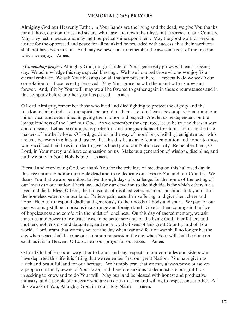#### **MEMORIAL (DAY) PRAYERS**

Almighty God our Heavenly Father, in Your hands are the living and the dead; we give You thanks for all those, our comrades and sisters, who have laid down their lives in the service of our Country. May they rest in peace, and may light perpetual shine upon them. May the good work of seeking justice for the oppressed and peace for all mankind be rewarded with success, that their sacrifices shall not have been in vain. And may we never fail to remember the awesome cost of the freedom which we enjoy. **Amen.**

 *(Concluding prayer)* Almighty God, our gratitude for Your generosity grows with each passing day. We acknowledge this day's special blessings. We have honored those who now enjoy Your eternal embrace. We ask Your blessings on all that are present here.. Especially do we seek Your consolation for those recently bereaved. May Your grace be with them and with us now and forever. And, if it by Your will, may we all be favored to gather again in these circumstances and in this company before another year has passed. **Amen**

O Lord Almighty, remember those who lived and died fighting to protect the dignity and the freedom of mankind. Let our spirits be proud of them. Let our hearts be compassionate, and our minds clear and determined in giving them honor and respect. And let us be dependent on the loving kindness of the Lord our God. As we remember the departed, let us be true soldiers in war and on peace. Let us be courageous protectors and true guardians of freedom. Let us be the true masters of brotherly love. O Lord, guide us in the way of moral responsibility; enlighten us—who are true believers in ethics and justice. Let this day be a day of commemoration and honor to those who sacrificed their lives in order to give us liberty and our Nation security. Remember them, O Lord, in Your mercy, and have compassion on us. Make us a generation of wisdom, discipline, and faith we pray in Your Holy Name. **Amen.**

Eternal and ever-loving God, we thank You for the privilege of meeting on this hallowed day in this free nation to honor our noble dead and to re-dedicate our lives to You and our Country. We thank You that we are permitted to live through days of challenge, for the hours of the testing of our loyalty to our national heritage, and for our devotion to the high ideals for which others have lived and died. Bless, O God, the thousands of disabled veterans in our hospitals today and also the homeless veterans in our land. Relieve pain, ease their suffering, and give them cheer and hope. Help us to respond gladly and generously to their needs of body and spirit. We pay for our men who may still be in prisons in a strange and foreign land. Give to them courage in the face of hopelessness and comfort in the midst of loneliness. On this day of sacred memory, we ask for grace and power to live truer lives, to be better servants of the living God, finer fathers and mothers, nobler sons and daughters, and more loyal citizens of this great Country and of Your world. Lord, grant that we may yet see the day when war and fear of war shall no longer be; the day when peace shall become our common possession; the day when Your will shall be done on earth as it is in Heaven. O Lord, hear our prayer for our sakes. **Amen.**

O Lord God of Hosts, as we gather to honor and pay respects to our comrades and sisters who have departed this life, it is fitting that we remember first our great Nation. You have given us a rich and beautiful land for our heritage. We humbly pray that we may always prove ourselves a people constantly aware of Your favor, and therefore anxious to demonstrate our gratitude in seeking to know and to do Your will. May our land be blessed with honest and productive industry, and a people of integrity who are anxious to learn and willing to respect one another. All this we ask of You, Almighty God, in Your Holy Name. **Amen.**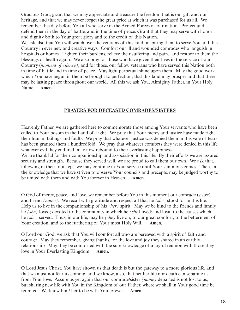Gracious God, grant that we may appreciate and treasure the freedom that is our gift and our heritage, and that we may never forget the great price at which it was purchased for us all. We remember this day before You all who serve in the Armed Forces of our nation. Protect and defend them in the day of battle, and in the time of peace. Grant that they may serve with honor and dignity both to Your great glory and to the credit of this Nation.

We ask also that You will watch over the veterans of this land, inspiring them to serve You and this Country in ever new and creative ways. Comfort our ill and wounded comrades who languish in hospitals or homes. Lighten their burdens, relieve their suffering and pain, and restore to them the blessings of health again. We also pray for those who have given their lives in the service of our Country (*moment of silence)*, and for those, our fellow veterans who have served this Nation both in time of battle and in time of peace. May light perpetual shine upon them. May the good work which You have begun in them be brought to perfection, that this land may prosper and that there may be lasting peace throughout our world. All this we ask You, Almighty Father, in Your Holy Name. **Amen.**

#### **PRAYERS FOR DECEASED COMRADES/SISTERS**

Heavenly Father, we are gathered here to commemorate those among Your servants who have been called to Your bosom in the Land of Light. We pray that Your mercy and justice have made right their human failings and faults. We pray that whatever justice was denied them in this vale of tears has been granted them a hundredfold. We pray that whatever comforts they were denied in this life, whatever evil they endured, may now rebound to their everlasting happiness.

We are thankful for their companionship and association in this life. By their efforts we are assured security and strength. Because they served well, we are proud to call them our own. We ask that, following in their footsteps, we may continue in Your service until Your summons comes. Then, in the knowledge that we have striven to observe Your councils and precepts, may be judged worthy to be united with them and with You forever in Heaven. **Amen.**

O God of mercy, peace, and love, we remember before You in this moment our comrade (sister) and friend *(name)*. We recall with gratitude and respect all that he *(she)* stood for in this life. Help us to live in the companionship of his *(her)* spirit. May we be kind to the friends and family he *(she)* loved; devoted to the community in which he *(she)* lived; and loyal to the causes which he *(she)* served. Thus, in our life, may he *(she)* live on, to our great comfort, to the betterment of Your creation, and to the furthering of Your most Holy Will. **Amen.**

O Lord our God, we ask that You will comfort all who are bereaved with a spirit of faith and courage. May they remember, giving thanks, for the love and joy they shared in an earthly relationship. May they be comforted with the sure knowledge of a joyful reunion with those they love in Your Everlasting Kingdom. **Amen.**

O Lord Jesus Christ, You have shown us that death is but the gateway to a more glorious life, and that we must not fear its coming; and we know, also, that neither life nor death can separate us from Your love. Assure us yet again that our comrade/sister *(name)* departed is not lost to us, but sharing new life with You in the Kingdom of our Father, where we shall in Your good time be reunited. We know him/ her to be with You forever. **Amen.**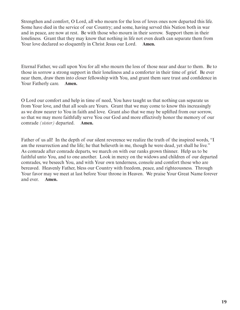Strengthen and comfort, O Lord, all who mourn for the loss of loves ones now departed this life. Some have died in the service of our Country; and some, having served this Nation both in war and in peace, are now at rest. Be with those who mourn in their sorrow. Support them in their loneliness. Grant that they may know that nothing in life not even death can separate them from Your love declared so eloquently in Christ Jesus our Lord. **Amen.**

Eternal Father, we call upon You for all who mourn the loss of those near and dear to them. Be to those in sorrow a strong support in their loneliness and a comforter in their time of grief. Be ever near them, draw them into closer fellowship with You, and grant them sure trust and confidence in Your Fatherly care. **Amen.**

O Lord our comfort and help in time of need, You have taught us that nothing can separate us from Your love, and that all souls are Yours. Grant that we may come to know this increasingly as we draw nearer to You in faith and love. Grant also that we may be uplifted from our sorrow, so that we may more faithfully serve You our God and more effectively honor the memory of our comrade *(sister)* departed. **Amen.**

Father of us all! In the depth of our silent reverence we realize the truth of the inspired words, "I am the resurrection and the life; he that believeth in me, though he were dead, yet shall he live." As comrade after comrade departs, we march on with our ranks grown thinner. Help us to be faithful unto You, and to one another. Look in mercy on the widows and children of our departed comrades, we beseech You, and with Your own tenderness, console and comfort those who are bereaved. Heavenly Father, bless our Country with freedom, peace, and righteousness. Through Your favor may we meet at last before Your throne in Heaven. We praise Your Great Name forever and ever. **Amen.**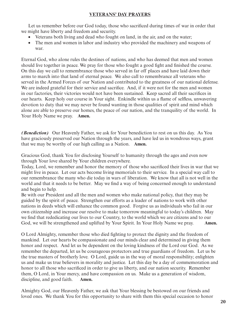#### **VETERANS' DAY PRAYERS**

 Let us remember before our God today, those who sacrificed during times of war in order that we might have liberty and freedom and security.

- Veterans both living and dead who fought on land, in the air, and on the water;
- The men and women in labor and industry who provided the machinery and weapons of war.

Eternal God, who alone rules the destines of nations, and who has deemed that men and women should live together in peace. We pray for those who fought a good fight and finished the course. On this day we call to remembrance those who served in far off places and have laid down their arms to march into that land of eternal peace. We also call to remembrance all veterans who served in the Armed Forces of our Nation and contributed to the greatness of our national defense. We are indeed grateful for their service and sacrifice. And, if it were not for the men and women in our factories, their victories would not have been sustained. Keep sacred all their sacrifices in our hearts. Keep holy our course in Your sight. Enkindle within us a flame of selfless, unwavering devotion to duty that we may never be found wanting in those qualities of spirit and mind which alone are able to preserve our homes, the peace of our nation, and the tranquility of the world. In Your Holy Name we pray. **Amen.**

*(Benediction)* Our Heavenly Father, we ask for Your benediction to rest on us this day. As You have graciously preserved our Nation through the years, and have led us in wondrous ways, grant that we may be worthy of our high calling as a Nation. **Amen.**

Gracious God, thank You for disclosing Yourself to humanity through the ages and even now through Your love shared by Your children everywhere.

Today, Lord, we remember and honor the memory of those who sacrificed their lives in war that we might live in peace. Let our acts become living memorials to their service. In a special way call to our remembrance the many who die today in wars of liberation. We know that all is not well in the world and that it needs to be better. May we find a way of being concerned enough to understand and begin to help.

Be with our President and all the men and women who make national policy, that they may be guided by the spirit of peace. Strengthen our efforts as a leader of nations to work with other nations in deeds which will enhance the common good. Forgive us as individuals who fail in our own citizenship and increase our resolve to make tomorrow meaningful to today's children. May we find that rededicating our lives to our Country, to the world which we are citizens and to our God, we will be strengthened and uplifted by Your Spirit. In Your Holy Name we pray. **Amen.** 

O Lord Almighty, remember those who died fighting to protect the dignity and the freedom of mankind. Let our hearts be compassionate and our minds clear and determined in giving them honor and respect. And let us be dependent on the loving kindness of the Lord our God. As we remember the departed, let us be courageous protectors and true guardians of freedom. Let us be the true masters of brotherly love. O Lord, guide us in the way of moral responsibility; enlighten us and make us true believers in morality and justice. Let this day be a day of commemoration and honor to all those who sacrificed in order to give us liberty, and our nation security. Remember them, O Lord, in Your mercy, and have compassion on us. Make us a generation of wisdom, discipline, and good faith. **Amen.**

Almighty God, our Heavenly Father, we ask that Your blessing be bestowed on our friends and loved ones. We thank You for this opportunity to share with them this special occasion to honor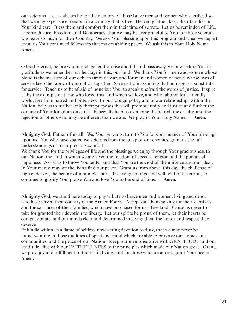our veterans. Let us always honor the memory of those brave men and women who sacrificed so that we may experience freedom in a country that is free. Heavenly father, keep their families in Your kind care. Bless them and comfort them in their time of sorrow. Let us be reminded of Life, Liberty, Justice, Freedom, and Democracy, that we may be ever grateful to You for those veterans who gave so much for their Country. We ask Your blessing upon this program and when we depart, grant us Your continued fellowship that makes abiding peace. We ask this in Your Holy Name. **Amen.**

O God Eternal, before whom each generation rise and fall and pass away, we bow before You in gratitude as we remember our heritage in this, our land. We thank You for men and women whose blood is the measure of our debt in times of war, and for men and women of peace whose lives of service keep the fabric of our nation together. Save us from assuming that homage is a substitute for service. Teach us to be afraid of none but You, to speak unafraid the words of justice. Inspire us by the example of those who loved this land which we love, and who labored for a friendly world, free from hatred and bitterness. In our foreign policy and in our relationships within the Nation, help us to further only those purposes that will promote unity and justice and further the coming of Your kingdom on earth. Especially help us overcome the hatred, the cruelty, and the rejection of others who may be different than we are. We pray in Your Holy Name. **Amen.** 

Almighty God, Father of us all! We, Your servants, turn to You for continuance of Your blessings upon us. You who have spared we veterans from the grasp of our enemies, grant us the full understandings of Your precious comfort.

We thank You for the privileges of life and the blessings we enjoy through Your graciousness to our Nation, the land in which we are given the freedom of speech, religion and the pursuit of happiness. Assist us to know You better and that You are the God of the universe and our ideal. In Your mercy, may we the living find our peace. Grant us from above, this day, the challenge of high endeavor, the beauty of a humble spirit, the strong courage and will, without exertion, to continue to glorify You; praise You and love You to the end of time**. Amen.**

Almighty God, we stand here today to pay tribute to brave men and women, living and dead, who have served their country in the Armed Forces. Accept our thanksgiving for their sacrifices and the sacrifices of their families, which have purchased for us a free land. Cause us never to take for granted their devotion to liberty. Let our spirits be proud of them, let their hearts be compassionate, and our minds clear and determined in giving them the honor and respect they deserve.

Enkindle within us a flame of selfless, unwavering devotion to duty, that we may never be found wanting in those qualities of spirit and mind which are able to preserve our homes, our communities, and the peace of our Nation. Keep our memories alive with GRATITUDE and our gratitude alive with our FAITHFULNESS to the principles which made our Nation great. Grant, we pray, joy and fulfillment to those still living; and for those who are at rest, grant Your peace. **Amen.**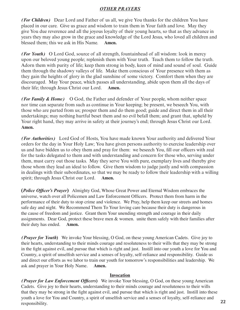#### *OTHER PRAYERS*

*(For Children)* Dear Lord and Father of us all, we give You thanks for the children You have placed in our care. Give us grace and wisdom to train them in Your faith and love. May they give You due reverence and all the joyous loyalty of their young hearts, so that as they advance in years they may also grow in the grace and knowledge of the Lord Jesus, who loved all children and blessed them; this we ask in His Name. **Amen.**

*(For Youth)* O Lord God, source of all strength, fountainhead of all wisdom: look in mercy upon our beloved young people; replenish them with Your truth. Teach them to follow the truth. Adorn them with purity of life; keep them strong in body, keen of mind and sound of soul. Guide them through the shadowy valleys of life. Make them conscious of Your presence with them as they gain the heights of glory in the glad sunshine of some victory. Comfort them when they are discouraged. May Your peace, which passes all understanding, abide upon them all the days of their life; through Jesus Christ our Lord. **Amen.**

*(For Family & Home)* O God, the Father and defender of Your people, whom neither space nor time can separate from such as continue in Your keeping; be present, we beseech You, with those who are parted from us; prosper them and do them good; guide and direct them in all their undertakings; may nothing hurtful beset them and no evil befall them; and grant that, upheld by Your right hand, they may arrive in safety at their journey's end; through Jesus Christ our Lord. **Amen.**

*(For Authorities)* Lord God of Hosts, You have made known Your authority and delivered Your orders for the day in Your Holy Law; You have given persons authority to exercise leadership over us and have bidden us to obey them and pray for them: we beseech You, fill our officers with zeal for the tasks delegated to them and with understanding and concern for those who, serving under them, must carry out those tasks. May they serve You with pure, exemplary lives and thereby give those whom they lead an ideal to follow. Give them wisdom to judge justly and with compassion in dealings with their subordinates, so that we may be ready to follow their leadership with a willing spirit; through Jesus Christ our Lord. **Amen.**

**(***Police Officer's Prayer***)** Almighty God, Whose Great Power and Eternal Wisdom embraces the universe, watch over all Policemen and Law Enforcement Officers. Protect them from harm in the performance of their duty to stop crime and violence. We Pray, help them keep our streets and homes safe day and night. We Recommend Them To Your loving care because their duty is dangerous in the cause of freedom and justice. Grant them Your unending strength and courage in their daily assignments. Dear God, protect these brave men & women. unite them safely with their families after their duty has ended. **Amen.** 

*(Prayer for Youth***)** We invoke Your blessing, O God, on these young American Cadets. Give joy to their hearts, understanding to their minds courage and resoluteness to their wills that they may be strong in the fight against evil, and pursue that which is right and just. Instill into our youth a love for You and Country, a spirit of unselfish service and a senses of loyalty, self-reliance and responsibility. Guide us and direct our efforts as we labor to train our youth for tomorrow's responsibilities and leadership. We ask and prayer in Your Holy Name. **Amen.**

#### **Invocation**

*(Prayer for Law Enforcement Officers***)** We invoke Your blessing, O God, on these young American Cadets. Give joy to their hearts, understanding to their minds courage and resoluteness to their wills that they may be strong in the fight against evil, and pursue that which is right and just. Instill into these youth a love for You and Country, a spirit of unselfish service and a senses of loyalty, self-reliance and responsibility.

**22**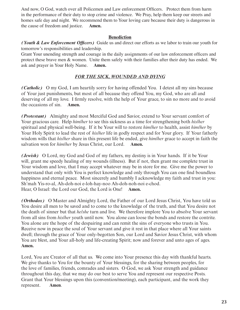And now, O God, watch over all Policemen and Law enforcement Officers. Protect them from harm in the performance of their duty to stop crime and violence. We Pray, help them keep our streets and homes safe day and night. We recommend them to Your loving care because their duty is dangerous in the cause of freedom and justice. **Amen.**

#### **Benediction**

*(Youth & Law Enforcement Officers)*Guide us and direct our efforts as we labor to train our youth for tomorrow's responsibilities and leadership.

Grant Your unending strength and courage in the daily assignments of our law enforcement officers and protect these brave men & women. Unite them safely with their families after their duty has ended. We ask and prayer in Your Holy Name. **Amen.**

#### *FOR THE SICK, WOUNDED AND DYING*

*(Catholic)* O my God, I am heartily sorry for having offended You. I detest all my sins because of Your just punishments, but most of all because they offend You, my God, who are all and deserving of all my love. I firmly resolve, with the help of Your grace, to sin no more and to avoid the occasions of sin. **Amen.**

*(Protestant)* Almighty and most Merciful God and Savior, extend to Your servant comfort of Your gracious care. Help *him/her* to see this sickness as a time for strengthening both *his/her* spiritual and physical well-being. If it be Your will to restore *him/her* to health, assist *him/her* by Your Holy Spirit to lead the rest of *his/her* life in godly respect and for Your glory. If Your fatherly wisdom wills that *his/her* share in this present life be ended, give *him/her* grace to accept in faith the salvation won for *him/her* by Jesus Christ, our Lord. **Amen.**

*(Jewish)* O Lord, my God and God of my fathers, my destiny is in Your hands. If it be Your will, grant me speedy healing of my wounds (illness). But if not, then grant me complete trust in Your wisdom and love, that I may accept whatever may be in store for me. Give me the power to understand that only with You is perfect knowledge and only through You can one find boundless happiness and eternal peace. Most sincerely and humbly I acknowledge my faith and trust in you: Sh'mah Yis-ro-al, Ah-doh-noi e-loh-hay-noo Ah-doh-noh-noi e-chod. Hear, O Israel: the Lord our God, the Lord is One! **Amen.**

*(Orthodox)* O Master and Almighty Lord, the Father of our Lord Jesus Christ, You have told us You desire all men to be saved and to come to the knowledge of the truth, and that You desire not the death of sinner but that *he/she* turn and live. We therefore implore You to absolve Your servant from all sins from *his/her* youth until now. You alone can loose the bonds and restore the contrite. You alone are the hope of the despairing and can remit the sins of everyone who trusts in You. Receive now in peace the soul of Your servant and give it rest in that place where all Your saints dwell; through the grace of Your only-begotten Son, our Lord and Savior Jesus Christ, with whom You are blest, and Your all-holy and life-creating Spirit; now and forever and unto ages of ages. **Amen.**

Lord, You are Creator of all that us. We come into Your presence this day with thankful hearts. We give thanks to You for the bounty of Your blessings, for the sharing between peoples, for the love of families, friends, comrades and sisters. O God, we ask Your strength and guidance throughout this day, that we may do our best to serve You and represent our respective Posts. Grant that Your blessings upon this (convention/meeting), each participant, and the work they represent. **Amen**.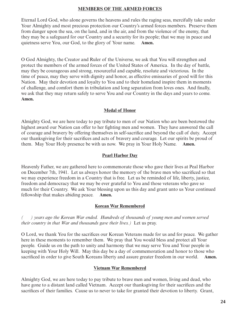#### **MEMBERS OF THE ARMED FORCES**

Eternal Lord God, who alone governs the heavens and rules the raging seas, mercifully take under Your Almighty and most precious protection our Country's armed forces members. Preserve them from danger upon the sea, on the land, and in the air, and from the violence of the enemy, that they may be a safeguard for our Country and a security for its people; that we may in peace and quietness serve You, our God, to the glory of Your name. **Amen.**

O God Almighty, the Creator and Ruler of the Universe, we ask that You will strengthen and protect the members of the armed forces of the United States of America. In the day of battle, may they be courageous and strong, resourceful and capable, resolute and victorious. In the time of peace, may they serve with dignity and honor, as effective emissaries of good will for this Nation. May their devotion and loyalty to You and to their homeland inspire them in moments of challenge, and comfort them in tribulation and long separation from loves ones. And finally, we ask that they may return safely to serve You and our Country in the days and years to come. **Amen.**

#### **Medal of Honor**

Almighty God, we are here today to pay tribute to men of our Nation who are been bestowed the highest award our Nation can offer to her fighting men and women. They have answered the call of courage and bravery by offering themselves in self-sacrifice and beyond the call of duty. Accept our thanksgiving for their sacrifices and acts of bravery and courage. Let our spirits be proud of them. May Your Holy presence be with us now. We pray in Your Holy Name. **Amen.**

#### **Pearl Harbor Day**

Heavenly Father, we are gathered here to commemorate those who gave their lives at Peal Harbor on December 7th, 1941. Let us always honor the memory of the brave men who sacrificed so that we may experience freedom in a Country that is free. Let us be reminded of life, liberty, justice, freedom and democracy that we may be ever grateful to You and those veterans who gave so much for their Country. We ask Your blessing upon us this day and grant unto us Your continued fellowship that makes abiding peace. **Amen.**

#### **Korean War Remembered**

*( ) years ago the Korean War ended. Hundreds of thousands of young men and women served their country in that War and thousands gave their lives.)* Let us pray.

O Lord, we thank You for the sacrifices our Korean Veterans made for us and for peace. We gather here in these moments to remember them. We pray that You would bless and protect all Your people. Guide us on the path to unity and harmony that we may serve You and Your people in keeping with Your Holy Will. May this day be a day of commemoration and honor to those who sacrificed in order to give South Koreans liberty and assure greater freedom in our world. **Amen.**

#### **Vietnam War Remembered**

Almighty God, we are here today to pay tribute to brave men and women, living and dead, who have gone to a distant land called Vietnam. Accept our thanksgiving for their sacrifices and the sacrifices of their families. Cause us to never to take for granted their devotion to liberty. Grant,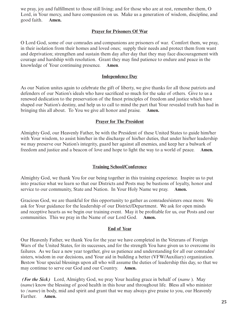we pray, joy and fulfillment to those still living; and for those who are at rest, remember them, O Lord, in Your mercy, and have compassion on us. Make us a generation of wisdom, discipline, and good faith. **Amen.**

#### **Prayer for Prisoners Of War**

O Lord God, some of our comrades and companions are prisoners of war. Comfort them, we pray, in their isolation from their homes and loved ones; supply their needs and protect them from want and deprivation; strengthen and sustain them day after day that they may face discouragement with courage and hardship with resolution. Grant they may find patience to endure and peace in the knowledge of Your continuing presence. **Amen**.

#### **Independence Day**

As our Nation unites again to celebrate the gift of liberty, we give thanks for all those patriots and defenders of our Nation's ideals who have sacrificed so much for the sake of others. Give to us a renewed dedication to the preservation of the finest principles of freedom and justice which have shaped our Nation's destiny, and help us to call to mind the part that Your revealed truth has had in bringing this all about. To You we give all honor and praise. **Amen.**

#### **Prayer for The President**

Almighty God, our Heavenly Father, be with the President of these United States to guide him/her with Your wisdom, to assist him/her in the discharge of his/her duties, that under his/her leadership we may preserve our Nation's integrity, guard her against all enemies, and keep her a bulwark of freedom and justice and a beacon of love and hope to light the way to a world of peace. **Amen.**

#### **Training School/Conference**

Almighty God, we thank You for our being together in this training experience. Inspire us to put into practice what we learn so that our Districts and Posts may be bastions of loyalty, honor and service to our community, State and Nation. In Your Holy Name we pray. **Amen.**

Gracious God, we are thankful for this opportunity to gather as comrades/sisters once more. We ask for Your guidance for the leadership of our District/Department. We ask for open minds and receptive hearts as we begin our training event. May it be profitable for us, our Posts and our communities. This we pray in the Name of our Lord God. **Amen.**

#### **End of Year**

Our Heavenly Father, we thank You for the year we have completed in the Veterans of Foreign Wars of the United States, for its successes, and for the strength You have given us to overcome its failures. As we face a new year together, give us patience and understanding for all our comrades/ sisters, wisdom in our decisions, and Your aid in building a better (VFW/Auxiliary) organization. Bestow Your special blessings upon all who will assume the duties of leadership this day, so that we may continue to serve our God and our Country. **Amen.**

 *(For the Sick)* Lord, Almighty God, we pray Your healing grace in behalf of (*name* ). May (*name*) know the blessing of good health in this hour and throughout life. Bless all who minister to *(name*) in body, mid and spirit and grant that we may always give praise to you, our Heavenly Farther. **Amen.**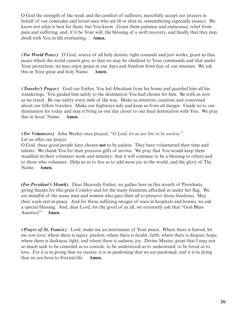O God the strength of the weak and the comfort of sufferers, mercifully accept our prayers in behalf of our comrades and loved ones who are ill or shut-in, remembering especially (*name*). We know not what is best for them, but You know. Grant them patience and endurance, relief from pain and suffering, and, if it be Your will, the blessing of a swift recovery, and finally that they may dwell with You in life everlasting. **Amen.**

*(For World Peace)* O God, source of all holy desires, right counsels and just works, grant us that peace which the world cannot give, so that we may be obedient to Your commands and that under Your protection, we may enjoy peace in our days and freedom from fear of our enemies. We ask this in Your great and holy Name. **Amen.**

*(Traveler's Prayer)* God our Father, You led Abraham from his home and guarded him all his wanderings. You guided him safely to the destination You had chosen for him. Be with us now as we travel. Be our safety every mile of the way. Make us attentive, cautious and concerned about our fellow travelers. Make our highways safe and keep us from all danger. Guide us to our destination for today and may it bring us one day closer to our final destination with You. We pray this in Jesus' Name. **Amen.**

*(For Volunteers)* John Wesley once prayed, "*O Lord, let us not live to be useless*." Let us offer our prayer:

O God, these good people have chosen **not** to be useless. They have volunteered their time and talents. We thank You for their precious gifts of service. We pray that You would keep them steadfast in their volunteer work and ministry; that it will continue to be a blessing to others and to those who volunteer. Help us so to live as to add more joy to the world, and the glory of Thy Name. **Amen.**

**(***For President's Month)* Dear Heavenly Father, we gather here in this month of Presidents, giving thanks for this great Country and for the many freedoms afforded us under her flag. We are mindful of the many men and women who gave their all to preserve those freedoms. May their souls rest in peace. And for those suffering ravages of wars in hospitals and homes, we ask a special blessing. And, dear Lord, for the good of us all, we reverently ask that "God Bless America!" **Amen.**

*(Prayer of St. Francis)* Lord, make me an instrument of Your peace. Where there is hatred, let me sow love; where there is injury, pardon; where there is doubt, faith; where there is despair, hope; where there is darkness, light; and where there is sadness, joy. Divine Master, grant that I may not so much seek to be consoled as to console; to be understood as to understand; to be loved as to love. For it is in giving that we receive; it is in pardoning that we are pardoned; and it is in dying that we are born to Eternal life. **Amen.**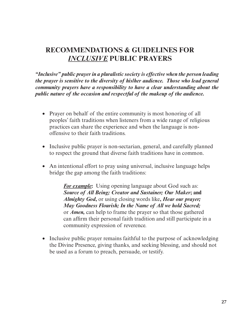# **RECOMMENDATIONS & GUIDELINES FOR** *INCLUSIVE* **PUBLIC PRAYERS**

*"Inclusive" public prayer in a pluralistic society is effective when the person leading the prayer is sensitive to the diversity of his/her audience. Those who lead general community prayers have a responsibility to have a clear understanding about the public nature of the occasion and respectful of the makeup of the audience.*

- Prayer on behalf of the entire community is most honoring of all peoples' faith traditions when listeners from a wide range of religious practices can share the experience and when the language is nonoffensive to their faith traditions.
- Inclusive public prayer is non-sectarian, general, and carefully planned to respect the ground that diverse faith traditions have in common.
- An intentional effort to pray using universal, inclusive language helps bridge the gap among the faith traditions:

*For example*: Using opening language about God such as: *Source of All Being; Creator and Sustainer; Our Maker***; and** *Almighty God***,** or using closing words like**,** *Hear our prayer; May Goodness Flourish; In the Name of All we hold Sacred;* or *Amen,* can help to frame the prayer so that those gathered can affirm their personal faith tradition and still participate in a community expression of reverence.

• Inclusive public prayer remains faithful to the purpose of acknowledging the Divine Presence, giving thanks, and seeking blessing, and should not be used as a forum to preach, persuade, or testify.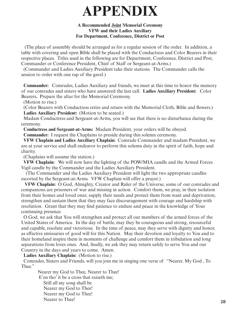# **APPENDIX**

#### **A Recommended Joint Memorial Ceremony VFW and their Ladies Auxiliary For Department, Conference, District or Post**

 (The place of assembly should be arranged as for a regular session of the order. In addition, a table with covering and open Bible shall be placed with the Conductress and Color Bearers in their respective places. Titles used in the following are for Department, Conference, District and Post, Commander or Conference President, Chief of Staff or Sergeant-at-Arms.)

(Commander and Ladies Auxiliary President take their stations. The Commander calls the session to order with one rap of the gavel.)

 **Commander:** Comrades, Ladies Auxiliary and friends, we meet at this time to honor the memory of our comrades and sisters who have answered the last call. **Ladies Auxiliary President:** Color Bearers**.** Prepare the altar for the Memorial Ceremony.

(Motion to rise.)

(Color Bearers with Conductress retire and return with the Memorial Cloth, Bible and flowers.) Ladies Auxiliary President: (Motion to be seated.)

 Madam Conductress and Sergeant-at-Arms, you will see that there is no disturbance during the ceremony.

**Conductress and Sergeant-at-Arms:** Madam President, your orders will be obeyed.

 **Commander:** I request the Chaplains to preside during this solemn ceremony.

 **VFW Chaplain and Ladies Auxiliary Chaplain:** Comrade Commander and madam President, we are at your service and shall endeavor to perform this solemn duty in the spirit of faith, hope and charity.

(Chaplains will assume the station.)

 **VFW Chaplain:** We will now have the lighting of the POW/MIA candle and the Armed Forces Vigil candle by the Commander and the Ladies Auxiliary President.

 (The Commander and the Ladies Auxiliary President will light the two appropriate candles escorted by the Sergeant-at-Arms. VFW Chaplain will offer a prayer.)

 **VFW Chaplain:** O God, Almighty, Creator and Ruler of the Universe, some of our comrades and companions are prisoners of war and missing in action. Comfort them, we pray, in their isolation from their homes and loved ones; supply their needs and protect them from want and deprivation; strengthen and sustain them that they may face discouragement with courage and hardship with resolution. Grant that they may find patience to endure and peace in the knowledge of Your continuing presence.

 O God, we ask that You will strengthen and protect all our members of the armed forces of the United States of America. In the day of battle, may they be courageous and strong, resourceful and capable, resolute and victorious. In the time of peace, may they serve with dignity and honor, as effective emissaries of good will for this Nation. May their devotion and loyalty to You and to their homeland inspire them in moments of challenge and comfort them in tribulation and long separations from loves ones. And, finally, we ask they may return safely to serve You and our Country in the days and years to come. Amen.

 **Ladies Auxiliary Chaplain:** (Motion to rise.)

 Comrades, Sisters and Friends, will you join me in singing one verse of "Nearer, My God , To Thee."

Nearer my God to Thee, Nearer to Thee! E'en tho' it be a cross that raiseth me; Still all my song shall be Nearer my God to Thee! Nearer my God to Thee! Nearer to Thee!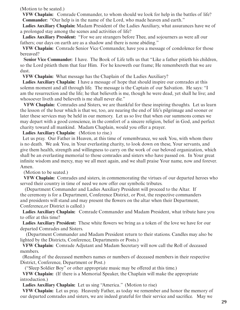(Motion to be seated.)

 **VFW Chaplain:** Comrade Commander, to whom should we look for help in the battles of life? **Commander:** "Our help is in the name of the Lord, who made heaven and earth."

 **Ladies Auxiliary Chaplain:** Madam President of the Ladies Auxiliary, what assurances have we of a prolonged stay among the scenes and activities of life?

 **Ladies Auxiliary President:** "For we are strangers before Thee, and sojourners as were all our fathers; our days on earth are as a shadow and there is none abiding."

 **VFW Chaplain:** Comrade Senior Vice Commander, have you a message of condolence for those bereaved?

 **Senior Vice Commander:** I have. The Book of Life tells us that "Like a father pitieth his children, so the Lord pitieth them that fear Him. For he knoweth our frame; He remembereth that we are dust.

**VFW Chaplain:** What message has the Chaplain of the Ladies Auxiliary?

 **Ladies Auxiliary Chaplain:** I have a message of hope that should inspire our comrades at this solemn moment and all through life. The message is the Captain of our Salvation. He says: "I am the resurrection and the life; he that believeth is me, though he were dead, yet shall he live; and whosoever liveth and believeth is me shall never die."

 **VFW Chaplain:** Comrades and Sisters, we are thankful for these inspiring thoughts. Let us learn the lesson of the hour which is that we, too, are nearing the end of life's pilgrimage and sooner or later these services may be held in our memory. Let us so live that when our summons comes we may depart with a good conscience, in the comfort of a sincere religion, belief in God, and perfect charity toward all mankind. Madam Chaplain, would you offer a prayer.

 **Ladies Auxiliary Chaplain:** (Motion to rise.)

Let us pray. Our Father in Heaven, at this time of remembrance, we seek You, with whom there is no death. We ask You, in Your everlasting charity, to look down on these, Your servants, and give them health, strength and willingness to carry on the work of our beloved organization, which shall be an everlasting memorial to those comrades and sisters who have passed on. In Your great infinite wisdom and mercy, may we all meet again, and we shall praise Your name, now and forever. Amen.

(Motion to be seated.)

 **VFW Chaplain:** Comrades and sisters, in commemorating the virtues of our departed heroes who served their country in time of need we now offer our symbolic tributes.

 (Department Commander and Ladies Auxiliary President will proceed to the Altar. If the ceremony is for a Department, Conference District, or Post, the respective commanders and presidents will stand and may present the flowers on the altar when their Department, Conference,or District is called.)

 **Ladies Auxiliary Chaplain:** Comrade Commander and Madam President, what tribute have you to offer at this time?

 **Ladies Auxiliary President:** These white flowers we bring as a token of the love we have for our departed Comrades and Sisters.

 (Department Commander and Madam President return to their stations. Candles may also be lighted by the Districts, Conference, Departments or Posts.)

 **VFW Chaplain:** Comrade Adjutant and Madam Secretary will now call the Roll of deceased members.

 (Reading of the deceased members names or numbers of deceased members in their respective District, Conference, Department or Post.)

("Sleep Soldier Boy" or other appropriate music may be offered at this time.)

 **VFW Chaplain:** (If there is a Memorial Speaker, the Chaplain will make the appropriate introduction.)

 **Ladies Auxiliary Chaplain:** Let us sing "America." (Motion to rise)

 **VFW Chaplain:** Let us pray. Heavenly Father, as today we remember and honor the memory of our departed comrades and sisters, we are indeed grateful for their service and sacrifice. May we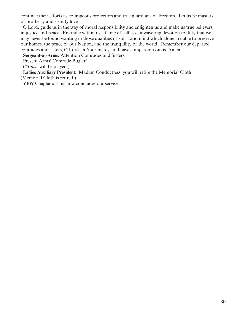continue their efforts as courageous protectors and true guardians of freedom. Let us be masters of brotherly and sisterly love.

 O Lord, guide us in the way of moral responsibility and enlighten us and make us true believers in justice and peace. Enkindle within us a flame of selfless, unwavering devotion to duty that we may never be found wanting in those qualities of spirit and mind which alone are able to preserve our homes, the peace of our Nation, and the tranquility of the world. Remember our departed comrades and sisters, O Lord, in Your mercy, and have compassion on us. Amen.

 **Sergeant-at-Arms:** Attention Comrades and Sisters.

Present Arms! Comrade Bugler!

("*Taps*" will be played.)

 **Ladies Auxiliary President:** Madam Conductress, you will retire the Memorial Cloth. (Memorial Cloth is retired.)

 **VFW Chaplain:** This now concludes our service**.**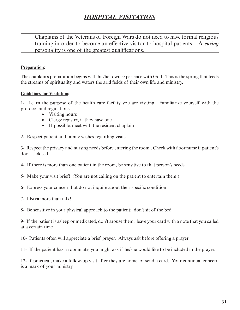# *HOSPITAL VISITATION*

Chaplains of the Veterans of Foreign Wars do not need to have formal religious training in order to become an effective visitor to hospital patients. A *caring* personality is one of the greatest qualifications.

#### **Preparation:**

The chaplain's preparation begins with his/her own experience with God. This is the spring that feeds the streams of spirituality and waters the arid fields of their own life and ministry.

#### **Guidelines for Visitation:**

1- Learn the purpose of the health care facility you are visiting. Familiarize yourself with the protocol and regulations.

- Visiting hours
- Clergy registry, if they have one
- If possible, meet with the resident chaplain

2- Respect patient and family wishes regarding visits.

3- Respect the privacy and nursing needs before entering the room.. Check with floor nurse if patient's door is closed.

4- If there is more than one patient in the room, be sensitive to that person's needs.

- 5- Make your visit brief! (You are not calling on the patient to entertain them.)
- 6- Express your concern but do not inquire about their specific condition.
- 7- **Listen** more than talk!

8- Be sensitive in your physical approach to the patient; don't sit of the bed.

9- If the patient is asleep or medicated, don't arouse them; leave your card with a note that you called at a certain time.

10- Patients often will appreciate a brief prayer. Always ask before offering a prayer.

11- If the patient has a roommate, you might ask if he/she would like to be included in the prayer.

12- If practical, make a follow-up visit after they are home, or send a card. Your continual concern is a mark of your ministry.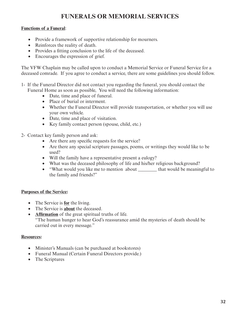# **FUNERALS OR MEMORIAL SERVICES**

#### **Functions of a Funeral**:

- Provide a framework of supportive relationship for mourners.
- Reinforces the reality of death.
- Provides a fitting conclusion to the life of the deceased.
- Encourages the expression of grief.

The VFW Chaplain may be called upon to conduct a Memorial Service or Funeral Service for a deceased comrade. If you agree to conduct a service, there are some guidelines you should follow.

- 1- If the Funeral Director did not contact you regarding the funeral, you should contact the Funeral Home as soon as possible, You will need the following information:
	- Date, time and place of funeral.
	- Place of burial or interment.
	- Whether the Funeral Director will provide transportation, or whether you will use your own vehicle.
	- Date, time and place of visitation.
	- Key family contact person (spouse, child, etc.)
- 2- Contact key family person and ask:
	- Are there any specific requests for the service?
	- Are there any special scripture passages, poems, or writings they would like to be used?
	- Will the family have a representative present a eulogy?
	- What was the deceased philosophy of life and his/her religious background?
	- "What would you like me to mention about \_\_\_\_\_\_\_\_ that would be meaningful to the family and friends?"

#### **Purposes of the Service:**

- The Service is **for** the living.
- • The Service is **about** the deceased.
- • **Affirmation** of the great spiritual truths of life. "The human hunger to hear God's reassurance amid the mysteries of death should be carried out in every message."

#### **Resources:**

- Minister's Manuals (can be purchased at bookstores)
- Funeral Manual (Certain Funeral Directors provide.)
- The Scriptures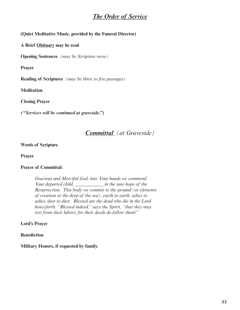# *The Order of Service*

**(Quiet Meditative Music, provided by the Funeral Director)**

**A Brief Obituary may be read**

**Opening Sentences** *(may be Scripture verse)*

**Prayer**

**Reading of Scriptures** *(may be three to five passages)*

**Meditation** 

**Closing Prayer**

*("Services will be continued at graveside***.")** 

# *Committal (at Graveside)*

#### **Words of Scripture**

**Prayer**

#### **Prayer of Committal:**

*Gracious and Merciful God, into Your hands we commend Your departed child, \_\_\_\_\_\_\_\_\_\_\_\_ in the sure hope of the Resurrection. This body we commit to the ground (or elements of creation or the deep of the sea), earth to earth, ashes to ashes, dust to dust. Blessed are the dead who die in the Lord henceforth. "Blessed indeed," says the Spirit, "that they may rest from their labors, for their deeds do follow them!"* 

#### **Lord's Prayer**

**Benediction**

**Military Honors, if requested by family.**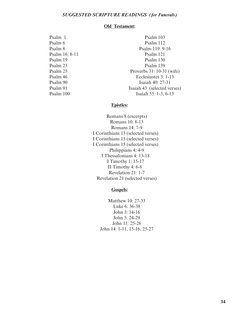#### *SUGGESTED SCRIPTURE READINGS (for Funerals)*

#### **Old Testament:**

**Psalm 103** Psalm 103

**Psalm 6** Psalm 112 Psalm 8 Psalm 119: 9-16 Psalm 16: 8-11 Psalm 121 Psalm 19 Psalm 130 Psalm 23 Psalm 139 Psalm 25 Proverbs 31: 10-31 (wife) Psalm 46 Ecclesiastes 3: 1-13 Psalm 90 Isaiah 40: 27-31 Psalm 91 Isaiah 43 (selected verses) Psalm 100 Isaiah 55: 1-3, 6-13

#### **Epistles:**

Romans 8 (excerpts) Romans 10: 8-13 Romans 14: 7-9 I Corinthians 13 (selected verses) I Corinthians 15 (selected verses) I Corinthians 15 (selected verses) Philippians 4: 4-9 I Thessalonians 4: 13-18 I Timothy 1: 15-17 II Timothy 4: 6-8 Revelation 21: 1-7 Revelation 21 (selected verses)

#### **Gospels:**

Matthew 10: 27-33 Luke 6: 36-38 John 3: 14-16 John 5: 24-29 John 11: 25-26 John 14: 1-11, 15-16, 25-27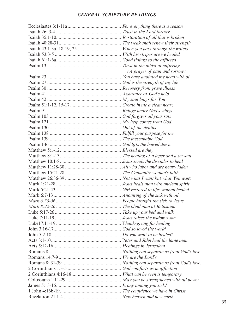#### *GENERAL SCRIPTURE READINGS*

| $(A$ prayer of pain and sorrow) |
|---------------------------------|
|                                 |
|                                 |
|                                 |
|                                 |
|                                 |
|                                 |
|                                 |
|                                 |
|                                 |
|                                 |
|                                 |
|                                 |
|                                 |
|                                 |
|                                 |
|                                 |
|                                 |
|                                 |
|                                 |
|                                 |
|                                 |
|                                 |
|                                 |
|                                 |
|                                 |
|                                 |
|                                 |
|                                 |
|                                 |
|                                 |
|                                 |
|                                 |
|                                 |
|                                 |
|                                 |
|                                 |
|                                 |
|                                 |
|                                 |
|                                 |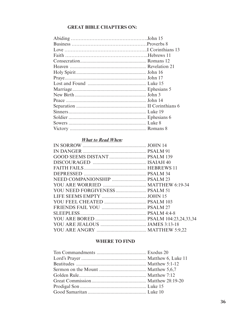#### **GREAT BIBLE CHAPTERS ON:**

#### *What to Read When:*

| GOOD SEEMS DISTANT  PSALM 139  |  |
|--------------------------------|--|
|                                |  |
|                                |  |
|                                |  |
|                                |  |
|                                |  |
| YOU NEED FORGIVENESS  PSALM 51 |  |
|                                |  |
|                                |  |
|                                |  |
|                                |  |
|                                |  |
|                                |  |
|                                |  |
|                                |  |

#### **WHERE TO FIND**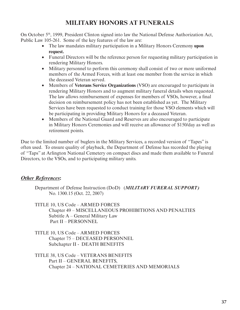# **MILITARY HONORS AT FUNERALS**

On October 5<sup>th</sup>, 1999, President Clinton signed into law the National Defense Authorization Act, Public Law 105-261. Some of the key features of the law are:

- • The law mandates military participation in a Military Honors Ceremony **upon request.**
- Funeral Directors will be the reference person for requesting military participation in rendering Military Honors.
- Military personnel to perform this ceremony shall consist of two or more uniformed members of the Armed Forces, with at least one member from the service in which the deceased Veteran served.
- Members of **Veterans Service Organizations** (VSO) are encouraged to participate in rendering Military Honors and to augment military funeral details when requested. The law allows reimbursement of expenses for members of VSOs, however, a final decision on reimbursement policy has not been established as yet. The Military Services have been requested to conduct training for those VSO elements which will be participating in providing Military Honors for a deceased Veteran.
- Members of the National Guard and Reserves are also encouraged to participate in Military Honors Ceremonies and will receive an allowance of \$150/day as well as retirement points.

Due to the limited number of buglers in the Military Services, a recorded version of "Tapes" is often used. To ensure quality of playback, the Department of Defense has recorded the playing of "Taps" at Arlington National Cemetery on compact discs and made them available to Funeral Directors, to the VSOs, and to participating military units.

## *Other References***:**

Department of Defense Instruction (DoD) (*MILITARY FURERAL SUPPORT)* No. 1300.15 (Oct. 22, 2007)

TITLE 10, US Code – ARMED FORCES Chapter 49 – MISCELLANEOUS PROHIBITIONS AND PENALTIES Subtitle A – General Military Law Part II – PERSONNEL

- TITLE 10, US Code ARMED FORCES Chapter 75 – DECEASED PERSONNEL Subchapter II - DEATH BENEFITS
- TITLE 38, US Code VETERANS BENEFITS Part II – GENERAL BENEFITS, Chapter 24 – NATIONAL CEMETERIES AND MEMORIALS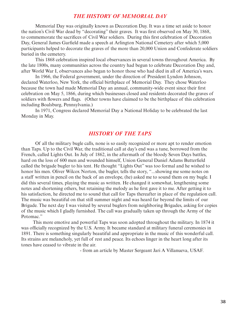#### *THE HISTORY OF MEMORIAL DAY*

Memorial Day was originally known as Decoration Day. It was a time set aside to honor the nation's Civil War dead by "decorating" their graves. It was first observed on May 30, 1868, to commemorate the sacrifices of Civil War soldiers. During this first celebration of Decoration Day, General James Garfield made a speech at Arlington National Cemetery after which 5,000 participants helped to decorate the graves of the more than 20,000 Union and Confederate soldiers buried in the cemetery.

This 1868 celebration inspired local observances in several towns throughout America. By the late 1800s, many communities across the country had begun to celebrate Decoration Day and, after World War I, observances also began to honor those who had died in all of America's wars.

In 1966, the Federal government, under the direction of President Lyndon Johnson, declared Waterloo, New York, the official birthplace of Memorial Day. They chose Waterloo because the town had made Memorial Day an annual, community-wide event since their first celebration on May 5, 1866, during which businesses closed and residents decorated the graves of soldiers with flowers and flags. (Other towns have claimed to be the birthplace of this celebration including Boalsburg, Pennsylvania.)

In 1971, Congress declared Memorial Day a National Holiday to be celebrated the last Monday in May.

#### *HISTORY OF THE TAPS*

Of all the military bugle calls, none is so easily recognized or more apt to render emotion than Taps. Up to the Civil War, the traditional call at day's end was a tune, borrowed from the French, called Lights Out. In July of 1862, in the aftermath of the bloody Seven Days battles, hard on the loss of 600 men and wounded himself, Union General Daniel Adams Butterfield called the brigade bugler to his tent. He thought "Lights Out" was too formal and he wished to honor his men. Oliver Wilcox Norton, the bugler, tells the story, "...showing me some notes on a staff written in pencil on the back of an envelope, (he) asked me to sound them on my bugle. I did this several times, playing the music as written. He changed it somewhat, lengthening some notes and shortening others, but retaining the melody as he first gave it to me. After getting it to his satisfaction, he directed me to sound that call for Taps thereafter in place of the regulation call. The music was beautiful on that still summer night and was heard far beyond the limits of our Brigade. The next day I was visited by several buglers from neighboring Brigades, asking for copies of the music which I gladly furnished. The call was gradually taken up through the Army of the Potomac."

 This more emotive and powerful Taps was soon adopted throughout the military. In 1874 it was officially recognized by the U.S. Army. It became standard at military funeral ceremonies in 1891. There is something singularly beautiful and appropriate in the music of this wonderful call. Its strains are melancholy, yet full of rest and peace. Its echoes linger in the heart long after its tones have ceased to vibrate in the air.

- from an article by Master Sergeant Jari A Villanueva, USAF.